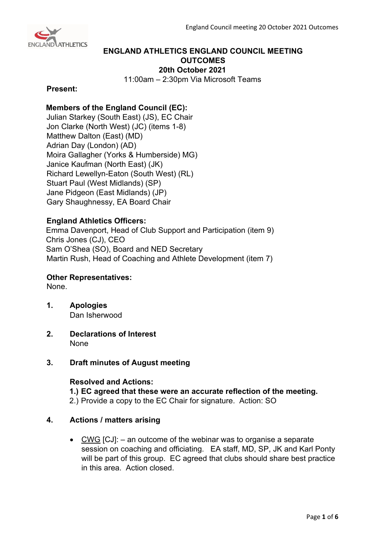

# **ENGLAND ATHLETICS ENGLAND COUNCIL MEETING OUTCOMES 20th October 2021**

11:00am – 2:30pm Via Microsoft Teams

### **Present:**

# **Members of the England Council (EC):**

Julian Starkey (South East) (JS), EC Chair Jon Clarke (North West) (JC) (items 1-8) Matthew Dalton (East) (MD) Adrian Day (London) (AD) Moira Gallagher (Yorks & Humberside) MG) Janice Kaufman (North East) (JK) Richard Lewellyn-Eaton (South West) (RL) Stuart Paul (West Midlands) (SP) Jane Pidgeon (East Midlands) (JP) Gary Shaughnessy, EA Board Chair

# **England Athletics Officers:**

Emma Davenport, Head of Club Support and Participation (item 9) Chris Jones (CJ), CEO Sam O'Shea (SO), Board and NED Secretary Martin Rush, Head of Coaching and Athlete Development (item 7)

## **Other Representatives:**

None.

- **1. Apologies** Dan Isherwood
- **2. Declarations of Interest** None

## **3. Draft minutes of August meeting**

## **Resolved and Actions:**

**1.) EC agreed that these were an accurate reflection of the meeting.**

2.) Provide a copy to the EC Chair for signature. Action: SO

## **4. Actions / matters arising**

• CWG  $[CJ]$ : – an outcome of the webinar was to organise a separate session on coaching and officiating. EA staff, MD, SP, JK and Karl Ponty will be part of this group. EC agreed that clubs should share best practice in this area. Action closed.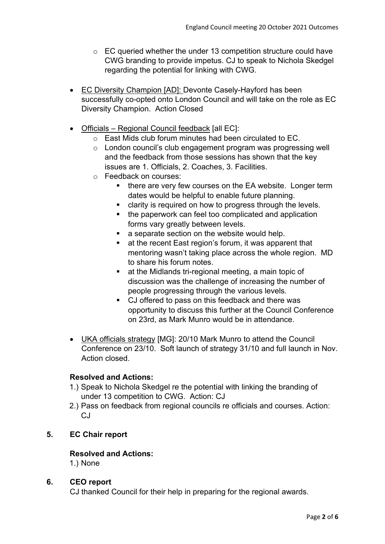- o EC queried whether the under 13 competition structure could have CWG branding to provide impetus. CJ to speak to Nichola Skedgel regarding the potential for linking with CWG.
- EC Diversity Champion [AD]: Devonte Casely-Hayford has been successfully co-opted onto London Council and will take on the role as EC Diversity Champion. Action Closed
- Officials Regional Council feedback [all EC]:
	- o East Mids club forum minutes had been circulated to EC.
	- o London council's club engagement program was progressing well and the feedback from those sessions has shown that the key issues are 1. Officials, 2. Coaches, 3. Facilities.
	- o Feedback on courses:
		- **there are very few courses on the EA website. Longer term** dates would be helpful to enable future planning.
		- **EXECT** clarity is required on how to progress through the levels.
		- the paperwork can feel too complicated and application forms vary greatly between levels.
		- **a** separate section on the website would help.
		- at the recent East region's forum, it was apparent that mentoring wasn't taking place across the whole region. MD to share his forum notes.
		- **EXECT** at the Midlands tri-regional meeting, a main topic of discussion was the challenge of increasing the number of people progressing through the various levels.
		- CJ offered to pass on this feedback and there was opportunity to discuss this further at the Council Conference on 23rd, as Mark Munro would be in attendance.
- UKA officials strategy [MG]: 20/10 Mark Munro to attend the Council Conference on 23/10. Soft launch of strategy 31/10 and full launch in Nov. Action closed.

## **Resolved and Actions:**

- 1.) Speak to Nichola Skedgel re the potential with linking the branding of under 13 competition to CWG. Action: CJ
- 2.) Pass on feedback from regional councils re officials and courses. Action:  $C<sub>1</sub>$

# **5. EC Chair report**

## **Resolved and Actions:**

1.) None

## **6. CEO report**

CJ thanked Council for their help in preparing for the regional awards.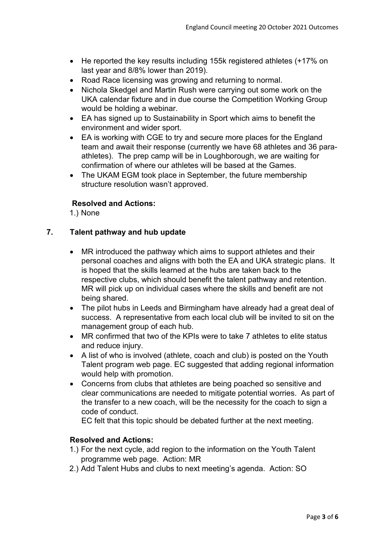- He reported the key results including 155k registered athletes (+17% on last year and 8/8% lower than 2019).
- Road Race licensing was growing and returning to normal.
- Nichola Skedgel and Martin Rush were carrying out some work on the UKA calendar fixture and in due course the Competition Working Group would be holding a webinar.
- EA has signed up to Sustainability in Sport which aims to benefit the environment and wider sport.
- EA is working with CGE to try and secure more places for the England team and await their response (currently we have 68 athletes and 36 paraathletes). The prep camp will be in Loughborough, we are waiting for confirmation of where our athletes will be based at the Games.
- The UKAM EGM took place in September, the future membership structure resolution wasn't approved.

# **Resolved and Actions:**

1.) None

# **7. Talent pathway and hub update**

- MR introduced the pathway which aims to support athletes and their personal coaches and aligns with both the EA and UKA strategic plans. It is hoped that the skills learned at the hubs are taken back to the respective clubs, which should benefit the talent pathway and retention. MR will pick up on individual cases where the skills and benefit are not being shared.
- The pilot hubs in Leeds and Birmingham have already had a great deal of success. A representative from each local club will be invited to sit on the management group of each hub.
- MR confirmed that two of the KPIs were to take 7 athletes to elite status and reduce injury.
- A list of who is involved (athlete, coach and club) is posted on the Youth Talent program web page. EC suggested that adding regional information would help with promotion.
- Concerns from clubs that athletes are being poached so sensitive and clear communications are needed to mitigate potential worries. As part of the transfer to a new coach, will be the necessity for the coach to sign a code of conduct.

EC felt that this topic should be debated further at the next meeting.

## **Resolved and Actions:**

- 1.) For the next cycle, add region to the information on the Youth Talent programme web page. Action: MR
- 2.) Add Talent Hubs and clubs to next meeting's agenda. Action: SO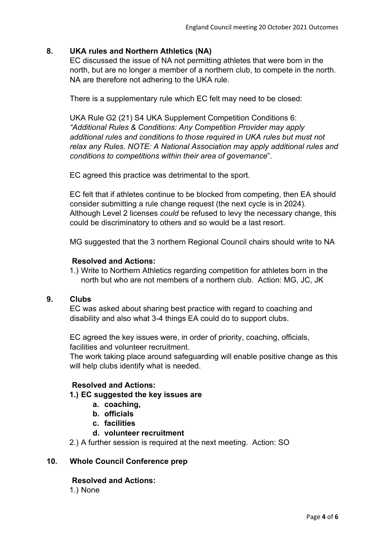## **8. UKA rules and Northern Athletics (NA)**

EC discussed the issue of NA not permitting athletes that were born in the north, but are no longer a member of a northern club, to compete in the north. NA are therefore not adhering to the UKA rule.

There is a supplementary rule which EC felt may need to be closed:

UKA Rule G2 (21) S4 UKA Supplement Competition Conditions 6: *"Additional Rules & Conditions: Any Competition Provider may apply additional rules and conditions to those required in UKA rules but must not relax any Rules. NOTE: A National Association may apply additional rules and conditions to competitions within their area of governance*".

EC agreed this practice was detrimental to the sport.

EC felt that if athletes continue to be blocked from competing, then EA should consider submitting a rule change request (the next cycle is in 2024). Although Level 2 licenses *could* be refused to levy the necessary change, this could be discriminatory to others and so would be a last resort.

MG suggested that the 3 northern Regional Council chairs should write to NA

### **Resolved and Actions:**

1.) Write to Northern Athletics regarding competition for athletes born in the north but who are not members of a northern club. Action: MG, JC, JK

#### **9. Clubs**

EC was asked about sharing best practice with regard to coaching and disability and also what 3-4 things EA could do to support clubs.

EC agreed the key issues were, in order of priority, coaching, officials, facilities and volunteer recruitment.

The work taking place around safeguarding will enable positive change as this will help clubs identify what is needed.

# **Resolved and Actions:**

### **1.) EC suggested the key issues are**

- **a. coaching,**
- **b. officials**
- **c. facilities**
- **d. volunteer recruitment**

2.) A further session is required at the next meeting. Action: SO

## **10. Whole Council Conference prep**

#### **Resolved and Actions:**

1.) None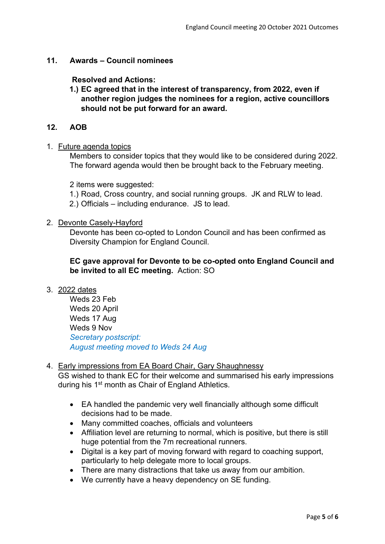## **11. Awards – Council nominees**

**Resolved and Actions:**

**1.) EC agreed that in the interest of transparency, from 2022, even if another region judges the nominees for a region, active councillors should not be put forward for an award.** 

### **12. AOB**

#### 1. Future agenda topics

Members to consider topics that they would like to be considered during 2022. The forward agenda would then be brought back to the February meeting.

2 items were suggested:

1.) Road, Cross country, and social running groups. JK and RLW to lead.

2.) Officials – including endurance. JS to lead.

### 2. Devonte Casely-Hayford

Devonte has been co-opted to London Council and has been confirmed as Diversity Champion for England Council.

# **EC gave approval for Devonte to be co-opted onto England Council and be invited to all EC meeting.** Action: SO

#### 3. 2022 dates

Weds 23 Feb Weds 20 April Weds 17 Aug Weds 9 Nov *Secretary postscript: August meeting moved to Weds 24 Aug*

### 4. Early impressions from EA Board Chair, Gary Shaughnessy

GS wished to thank EC for their welcome and summarised his early impressions during his 1<sup>st</sup> month as Chair of England Athletics.

- EA handled the pandemic very well financially although some difficult decisions had to be made.
- Many committed coaches, officials and volunteers
- Affiliation level are returning to normal, which is positive, but there is still huge potential from the 7m recreational runners.
- Digital is a key part of moving forward with regard to coaching support, particularly to help delegate more to local groups.
- There are many distractions that take us away from our ambition.
- We currently have a heavy dependency on SE funding.